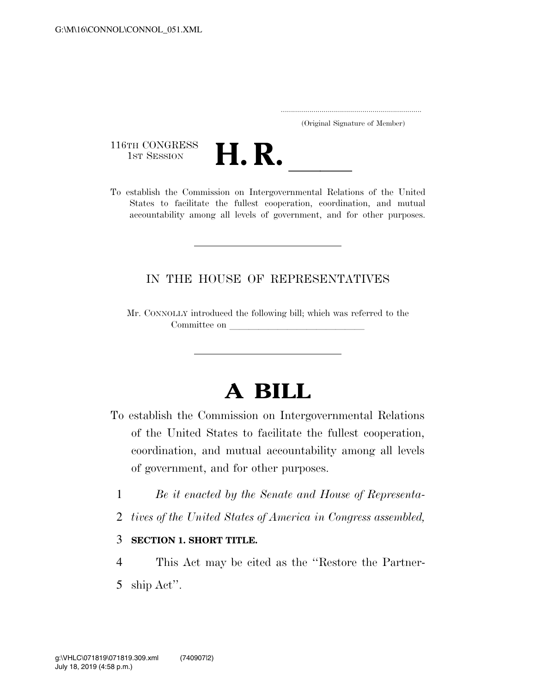..................................................................... (Original Signature of Member)

116TH CONGRESS<br>1st Session



116TH CONGRESS<br>
1st SESSION<br>
To establish the Commission on Intergovernmental Relations of the United States to facilitate the fullest cooperation, coordination, and mutual accountability among all levels of government, and for other purposes.

### IN THE HOUSE OF REPRESENTATIVES

Mr. CONNOLLY introduced the following bill; which was referred to the Committee on

# **A BILL**

- To establish the Commission on Intergovernmental Relations of the United States to facilitate the fullest cooperation, coordination, and mutual accountability among all levels of government, and for other purposes.
	- 1 *Be it enacted by the Senate and House of Representa-*
	- 2 *tives of the United States of America in Congress assembled,*

#### 3 **SECTION 1. SHORT TITLE.**

4 This Act may be cited as the ''Restore the Partner-5 ship Act''.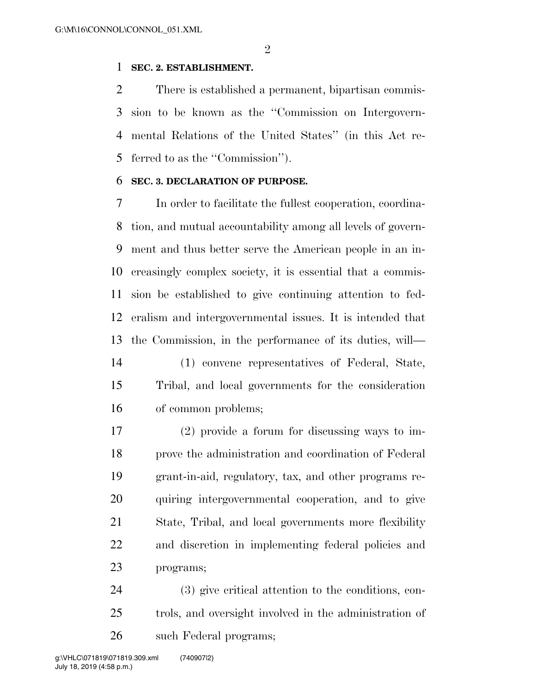#### **SEC. 2. ESTABLISHMENT.**

 There is established a permanent, bipartisan commis- sion to be known as the ''Commission on Intergovern- mental Relations of the United States'' (in this Act re-ferred to as the ''Commission'').

#### **SEC. 3. DECLARATION OF PURPOSE.**

 In order to facilitate the fullest cooperation, coordina- tion, and mutual accountability among all levels of govern- ment and thus better serve the American people in an in- creasingly complex society, it is essential that a commis- sion be established to give continuing attention to fed- eralism and intergovernmental issues. It is intended that the Commission, in the performance of its duties, will—

 (1) convene representatives of Federal, State, Tribal, and local governments for the consideration of common problems;

 (2) provide a forum for discussing ways to im- prove the administration and coordination of Federal grant-in-aid, regulatory, tax, and other programs re- quiring intergovernmental cooperation, and to give State, Tribal, and local governments more flexibility and discretion in implementing federal policies and programs;

 (3) give critical attention to the conditions, con- trols, and oversight involved in the administration of such Federal programs;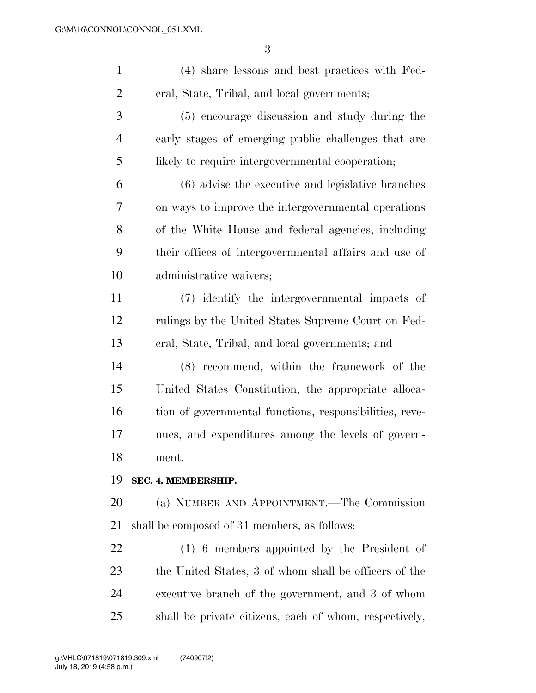| $\mathbf{1}$   | (4) share lessons and best practices with Fed-          |
|----------------|---------------------------------------------------------|
| $\overline{2}$ | eral, State, Tribal, and local governments;             |
| 3              | (5) encourage discussion and study during the           |
| $\overline{4}$ | early stages of emerging public challenges that are     |
| 5              | likely to require intergovernmental cooperation;        |
| 6              | (6) advise the executive and legislative branches       |
| 7              | on ways to improve the intergovernmental operations     |
| 8              | of the White House and federal agencies, including      |
| 9              | their offices of intergovernmental affairs and use of   |
| 10             | administrative waivers;                                 |
| 11             | (7) identify the intergovernmental impacts of           |
| 12             | rulings by the United States Supreme Court on Fed-      |
| 13             | eral, State, Tribal, and local governments; and         |
| 14             | (8) recommend, within the framework of the              |
| 15             | United States Constitution, the appropriate alloca-     |
| 16             | tion of governmental functions, responsibilities, reve- |
| 17             | nues, and expenditures among the levels of govern-      |
| 18             | ment.                                                   |
| 19             | SEC. 4. MEMBERSHIP.                                     |
| 20             | (a) NUMBER AND APPOINTMENT.—The Commission              |
| 21             | shall be composed of 31 members, as follows:            |
| 22             | $(1)$ 6 members appointed by the President of           |
| 23             | the United States, 3 of whom shall be officers of the   |
| 24             | executive branch of the government, and 3 of whom       |
| 25             | shall be private citizens, each of whom, respectively,  |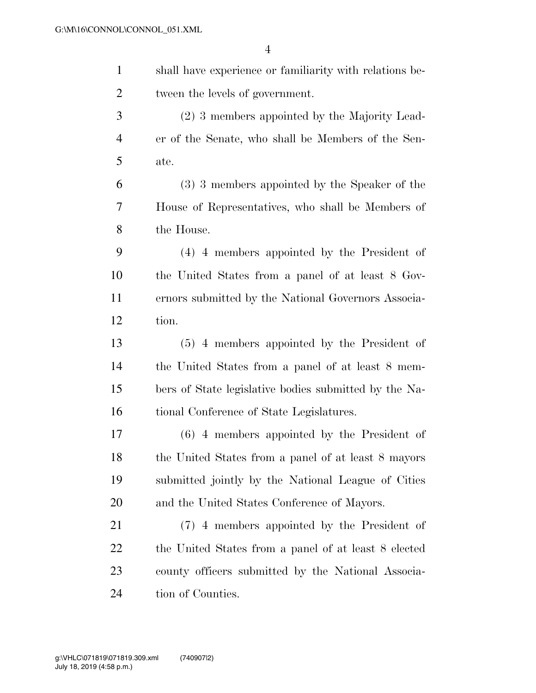| $\mathbf{1}$   | shall have experience or familiarity with relations be- |
|----------------|---------------------------------------------------------|
| $\overline{2}$ | tween the levels of government.                         |
| 3              | (2) 3 members appointed by the Majority Lead-           |
| $\overline{4}$ | er of the Senate, who shall be Members of the Sen-      |
| 5              | ate.                                                    |
| 6              | (3) 3 members appointed by the Speaker of the           |
| 7              | House of Representatives, who shall be Members of       |
| 8              | the House.                                              |
| 9              | (4) 4 members appointed by the President of             |
| 10             | the United States from a panel of at least 8 Gov-       |
| 11             | ernors submitted by the National Governors Associa-     |
| 12             | tion.                                                   |
| 13             | (5) 4 members appointed by the President of             |
| 14             | the United States from a panel of at least 8 mem-       |
| 15             | bers of State legislative bodies submitted by the Na-   |
| 16             | tional Conference of State Legislatures.                |
| 17             | $(6)$ 4 members appointed by the President of           |
| 18             | the United States from a panel of at least 8 mayors     |
| 19             | submitted jointly by the National League of Cities      |
| 20             | and the United States Conference of Mayors.             |
| 21             | (7) 4 members appointed by the President of             |
| 22             | the United States from a panel of at least 8 elected    |
| 23             | county officers submitted by the National Associa-      |
| 24             | tion of Counties.                                       |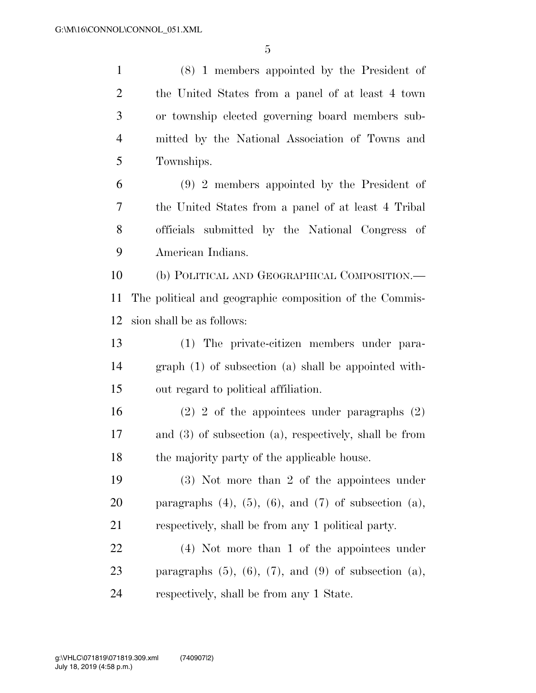(8) 1 members appointed by the President of the United States from a panel of at least 4 town or township elected governing board members sub- mitted by the National Association of Towns and Townships. (9) 2 members appointed by the President of the United States from a panel of at least 4 Tribal officials submitted by the National Congress of American Indians. (b) POLITICAL AND GEOGRAPHICAL COMPOSITION.— The political and geographic composition of the Commis- sion shall be as follows: (1) The private-citizen members under para- graph (1) of subsection (a) shall be appointed with- out regard to political affiliation. (2) 2 of the appointees under paragraphs (2) and (3) of subsection (a), respectively, shall be from the majority party of the applicable house. (3) Not more than 2 of the appointees under 20 paragraphs  $(4)$ ,  $(5)$ ,  $(6)$ , and  $(7)$  of subsection  $(a)$ , respectively, shall be from any 1 political party. (4) Not more than 1 of the appointees under 23 paragraphs  $(5)$ ,  $(6)$ ,  $(7)$ , and  $(9)$  of subsection  $(a)$ , respectively, shall be from any 1 State.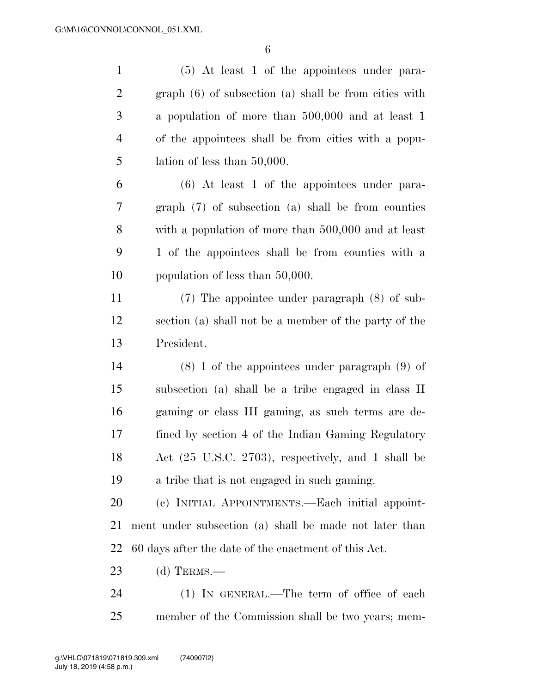| $\mathbf{1}$   | (5) At least 1 of the appointees under para-           |
|----------------|--------------------------------------------------------|
| $\overline{2}$ | graph (6) of subsection (a) shall be from cities with  |
| $\mathfrak{Z}$ | a population of more than 500,000 and at least 1       |
| $\overline{4}$ | of the appointees shall be from cities with a popu-    |
| 5              | lation of less than $50,000$ .                         |
| 6              | $(6)$ At least 1 of the appointees under para-         |
| 7              | $graph(7)$ of subsection (a) shall be from counties    |
| 8              | with a population of more than 500,000 and at least    |
| 9              | 1 of the appointees shall be from counties with a      |
| 10             | population of less than 50,000.                        |
| 11             | $(7)$ The appointee under paragraph $(8)$ of sub-      |
| 12             | section (a) shall not be a member of the party of the  |
| 13             | President.                                             |
| 14             | $(8)$ 1 of the appointees under paragraph $(9)$ of     |
| 15             | subsection (a) shall be a tribe engaged in class II    |
| 16             | gaming or class III gaming, as such terms are de-      |
| 17             | fined by section 4 of the Indian Gaming Regulatory     |
| 18             | Act (25 U.S.C. 2703), respectively, and 1 shall be     |
| 19             | a tribe that is not engaged in such gaming.            |
| 20             | (c) INITIAL APPOINTMENTS.—Each initial appoint-        |
| 21             | ment under subsection (a) shall be made not later than |
| 22             | 60 days after the date of the enactment of this Act.   |
| 23             | (d) TERMS.—                                            |
| 24             | $(1)$ In GENERAL.—The term of office of each           |
| 25             | member of the Commission shall be two years; mem-      |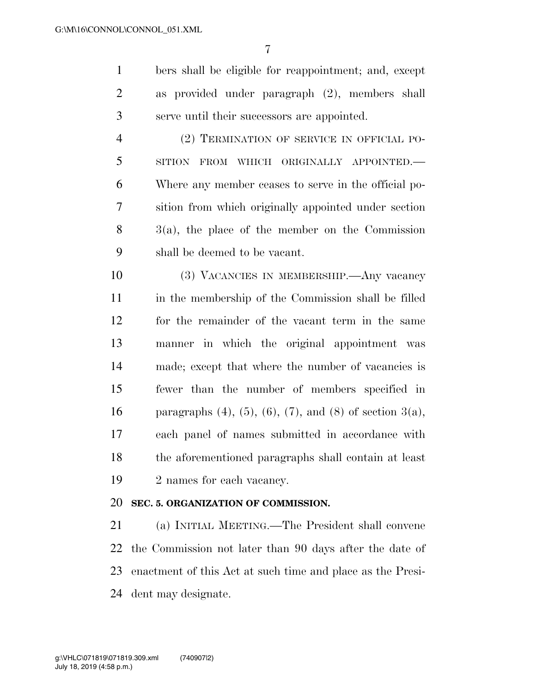bers shall be eligible for reappointment; and, except as provided under paragraph (2), members shall serve until their successors are appointed.

 (2) TERMINATION OF SERVICE IN OFFICIAL PO- SITION FROM WHICH ORIGINALLY APPOINTED.— Where any member ceases to serve in the official po- sition from which originally appointed under section 3(a), the place of the member on the Commission shall be deemed to be vacant.

 (3) VACANCIES IN MEMBERSHIP.—Any vacancy in the membership of the Commission shall be filled for the remainder of the vacant term in the same manner in which the original appointment was made; except that where the number of vacancies is fewer than the number of members specified in 16 paragraphs (4), (5), (6), (7), and (8) of section  $3(a)$ , each panel of names submitted in accordance with the aforementioned paragraphs shall contain at least 2 names for each vacancy.

#### **SEC. 5. ORGANIZATION OF COMMISSION.**

 (a) INITIAL MEETING.—The President shall convene the Commission not later than 90 days after the date of enactment of this Act at such time and place as the Presi-dent may designate.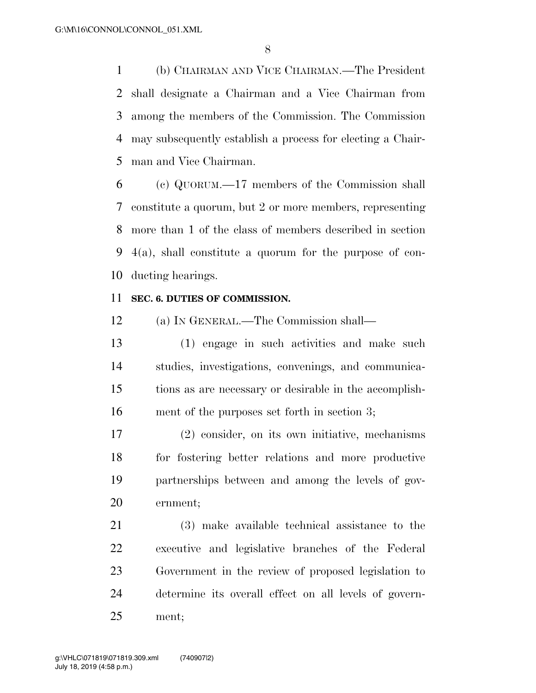(b) CHAIRMAN AND VICE CHAIRMAN.—The President shall designate a Chairman and a Vice Chairman from among the members of the Commission. The Commission may subsequently establish a process for electing a Chair-man and Vice Chairman.

 (c) QUORUM.—17 members of the Commission shall constitute a quorum, but 2 or more members, representing more than 1 of the class of members described in section 4(a), shall constitute a quorum for the purpose of con-ducting hearings.

#### **SEC. 6. DUTIES OF COMMISSION.**

(a) IN GENERAL.—The Commission shall—

 (1) engage in such activities and make such studies, investigations, convenings, and communica- tions as are necessary or desirable in the accomplish-ment of the purposes set forth in section 3;

 (2) consider, on its own initiative, mechanisms for fostering better relations and more productive partnerships between and among the levels of gov-ernment;

 (3) make available technical assistance to the executive and legislative branches of the Federal Government in the review of proposed legislation to determine its overall effect on all levels of govern-ment;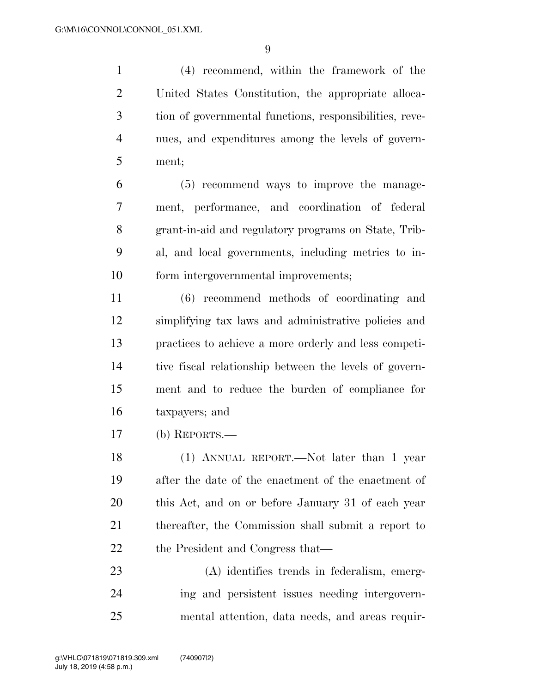(4) recommend, within the framework of the United States Constitution, the appropriate alloca- tion of governmental functions, responsibilities, reve- nues, and expenditures among the levels of govern-ment;

 (5) recommend ways to improve the manage- ment, performance, and coordination of federal grant-in-aid and regulatory programs on State, Trib- al, and local governments, including metrics to in-form intergovernmental improvements;

 (6) recommend methods of coordinating and simplifying tax laws and administrative policies and practices to achieve a more orderly and less competi- tive fiscal relationship between the levels of govern- ment and to reduce the burden of compliance for taxpayers; and

(b) REPORTS.—

 (1) ANNUAL REPORT.—Not later than 1 year after the date of the enactment of the enactment of this Act, and on or before January 31 of each year thereafter, the Commission shall submit a report to 22 the President and Congress that—

 (A) identifies trends in federalism, emerg- ing and persistent issues needing intergovern-mental attention, data needs, and areas requir-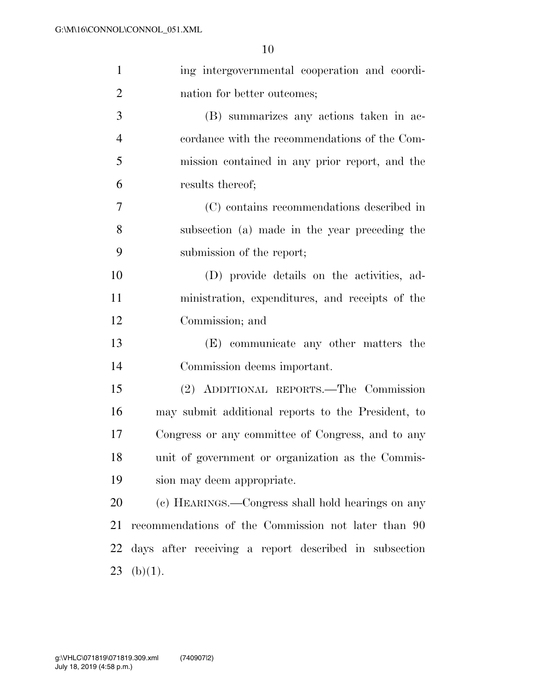| $\mathbf{1}$   | ing intergovernmental cooperation and coordi-         |
|----------------|-------------------------------------------------------|
| $\overline{2}$ | nation for better outcomes;                           |
| 3              | (B) summarizes any actions taken in ac-               |
| $\overline{4}$ | cordance with the recommendations of the Com-         |
| 5              | mission contained in any prior report, and the        |
| 6              | results thereof;                                      |
| $\tau$         | (C) contains recommendations described in             |
| 8              | subsection (a) made in the year preceding the         |
| 9              | submission of the report;                             |
| 10             | (D) provide details on the activities, ad-            |
| 11             | ministration, expenditures, and receipts of the       |
| 12             | Commission; and                                       |
| 13             | (E) communicate any other matters the                 |
| 14             | Commission deems important.                           |
| 15             | (2) ADDITIONAL REPORTS.—The Commission                |
| 16             | may submit additional reports to the President, to    |
| 17             | Congress or any committee of Congress, and to any     |
| 18             | unit of government or organization as the Commis-     |
| 19             | sion may deem appropriate.                            |
| 20             | (c) HEARINGS.—Congress shall hold hearings on any     |
| 21             | recommendations of the Commission not later than 90   |
| 22             | days after receiving a report described in subsection |
| 23             | (b)(1).                                               |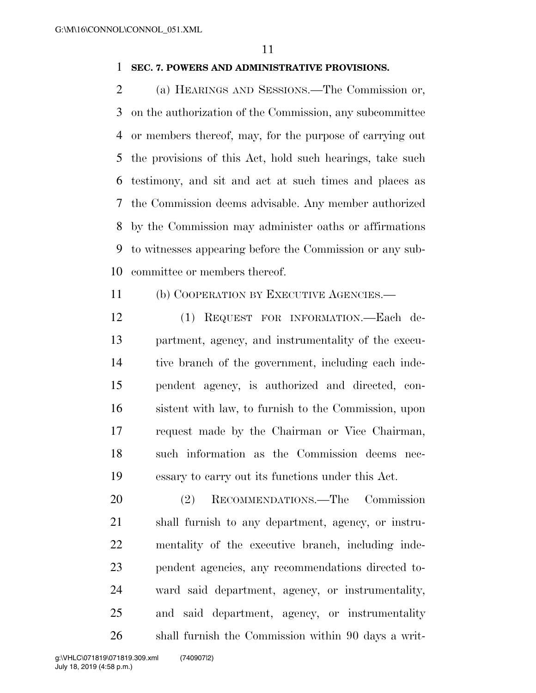#### **SEC. 7. POWERS AND ADMINISTRATIVE PROVISIONS.**

 (a) HEARINGS AND SESSIONS.—The Commission or, on the authorization of the Commission, any subcommittee or members thereof, may, for the purpose of carrying out the provisions of this Act, hold such hearings, take such testimony, and sit and act at such times and places as the Commission deems advisable. Any member authorized by the Commission may administer oaths or affirmations to witnesses appearing before the Commission or any sub-committee or members thereof.

(b) COOPERATION BY EXECUTIVE AGENCIES.—

 (1) REQUEST FOR INFORMATION.—Each de- partment, agency, and instrumentality of the execu- tive branch of the government, including each inde- pendent agency, is authorized and directed, con- sistent with law, to furnish to the Commission, upon request made by the Chairman or Vice Chairman, such information as the Commission deems nec-essary to carry out its functions under this Act.

 (2) RECOMMENDATIONS.—The Commission shall furnish to any department, agency, or instru- mentality of the executive branch, including inde- pendent agencies, any recommendations directed to- ward said department, agency, or instrumentality, and said department, agency, or instrumentality shall furnish the Commission within 90 days a writ-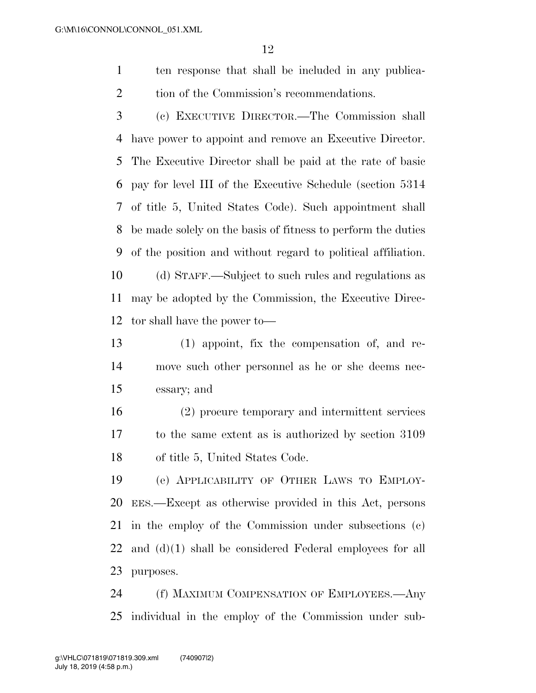- ten response that shall be included in any publica-2 tion of the Commission's recommendations.
- (c) EXECUTIVE DIRECTOR.—The Commission shall have power to appoint and remove an Executive Director. The Executive Director shall be paid at the rate of basic pay for level III of the Executive Schedule (section 5314 of title 5, United States Code). Such appointment shall be made solely on the basis of fitness to perform the duties of the position and without regard to political affiliation. (d) STAFF.—Subject to such rules and regulations as may be adopted by the Commission, the Executive Direc-tor shall have the power to—
- (1) appoint, fix the compensation of, and re- move such other personnel as he or she deems nec-essary; and
- (2) procure temporary and intermittent services to the same extent as is authorized by section 3109 of title 5, United States Code.
- (e) APPLICABILITY OF OTHER LAWS TO EMPLOY- EES.—Except as otherwise provided in this Act, persons in the employ of the Commission under subsections (c) and (d)(1) shall be considered Federal employees for all purposes.

 (f) MAXIMUM COMPENSATION OF EMPLOYEES.—Any individual in the employ of the Commission under sub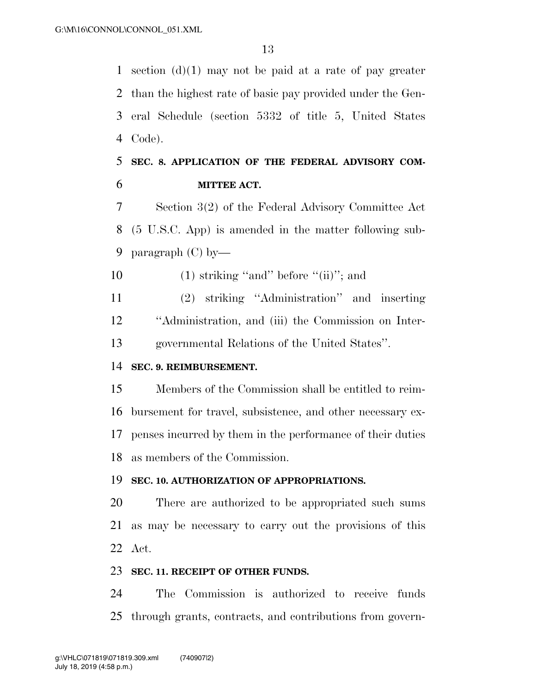1 section  $(d)(1)$  may not be paid at a rate of pay greater than the highest rate of basic pay provided under the Gen- eral Schedule (section 5332 of title 5, United States Code).

## **SEC. 8. APPLICATION OF THE FEDERAL ADVISORY COM-MITTEE ACT.**

 Section 3(2) of the Federal Advisory Committee Act (5 U.S.C. App) is amended in the matter following sub-paragraph (C) by—

10  $(1)$  striking "and" before "(ii)"; and

 (2) striking ''Administration'' and inserting ''Administration, and (iii) the Commission on Inter-governmental Relations of the United States''.

#### **SEC. 9. REIMBURSEMENT.**

 Members of the Commission shall be entitled to reim- bursement for travel, subsistence, and other necessary ex- penses incurred by them in the performance of their duties as members of the Commission.

#### **SEC. 10. AUTHORIZATION OF APPROPRIATIONS.**

 There are authorized to be appropriated such sums as may be necessary to carry out the provisions of this Act.

#### **SEC. 11. RECEIPT OF OTHER FUNDS.**

 The Commission is authorized to receive funds through grants, contracts, and contributions from govern